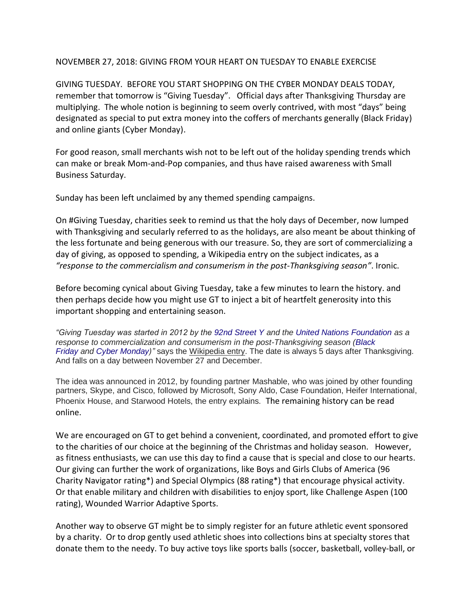## NOVEMBER 27, 2018: GIVING FROM YOUR HEART ON TUESDAY TO ENABLE EXERCISE

GIVING TUESDAY. BEFORE YOU START SHOPPING ON THE CYBER MONDAY DEALS TODAY, remember that tomorrow is "Giving Tuesday". Official days after Thanksgiving Thursday are multiplying. The whole notion is beginning to seem overly contrived, with most "days" being designated as special to put extra money into the coffers of merchants generally (Black Friday) and online giants (Cyber Monday).

For good reason, small merchants wish not to be left out of the holiday spending trends which can make or break Mom-and-Pop companies, and thus have raised awareness with Small Business Saturday.

Sunday has been left unclaimed by any themed spending campaigns.

On #Giving Tuesday, charities seek to remind us that the holy days of December, now lumped with Thanksgiving and secularly referred to as the holidays, are also meant be about thinking of the less fortunate and being generous with our treasure. So, they are sort of commercializing a day of giving, as opposed to spending, a Wikipedia entry on the subject indicates, as a *"response to the commercialism and consumerism in the post-Thanksgiving season"*. Ironic.

Before becoming cynical about Giving Tuesday, take a few minutes to learn the history. and then perhaps decide how you might use GT to inject a bit of heartfelt generosity into this important shopping and entertaining season.

*"Giving Tuesday was started in 2012 by the [92nd Street Y](https://en.wikipedia.org/wiki/92nd_Street_Y) and the [United Nations Foundation](https://en.wikipedia.org/wiki/United_Nations_Foundation) as a response to commercialization and consumerism in the post-Thanksgiving season [\(Black](https://en.wikipedia.org/wiki/Black_Friday_(shopping))  [Friday](https://en.wikipedia.org/wiki/Black_Friday_(shopping)) and [Cyber Monday\)](https://en.wikipedia.org/wiki/Cyber_Monday)"* says the Wikipedia entry. The date is always 5 days after Thanksgiving. And falls on a day between November 27 and December.

The idea was announced in 2012, by founding partner Mashable, who was joined by other founding partners, Skype, and Cisco, followed by Microsoft, Sony Aldo, Case Foundation, Heifer International, Phoenix House, and Starwood Hotels, the entry explains. The remaining history can be read online.

We are encouraged on GT to get behind a convenient, coordinated, and promoted effort to give to the charities of our choice at the beginning of the Christmas and holiday season. However, as fitness enthusiasts, we can use this day to find a cause that is special and close to our hearts. Our giving can further the work of organizations, like Boys and Girls Clubs of America (96 Charity Navigator rating\*) and Special Olympics (88 rating\*) that encourage physical activity. Or that enable military and children with disabilities to enjoy sport, like Challenge Aspen (100 rating), Wounded Warrior Adaptive Sports.

Another way to observe GT might be to simply register for an future athletic event sponsored by a charity. Or to drop gently used athletic shoes into collections bins at specialty stores that donate them to the needy. To buy active toys like sports balls (soccer, basketball, volley-ball, or